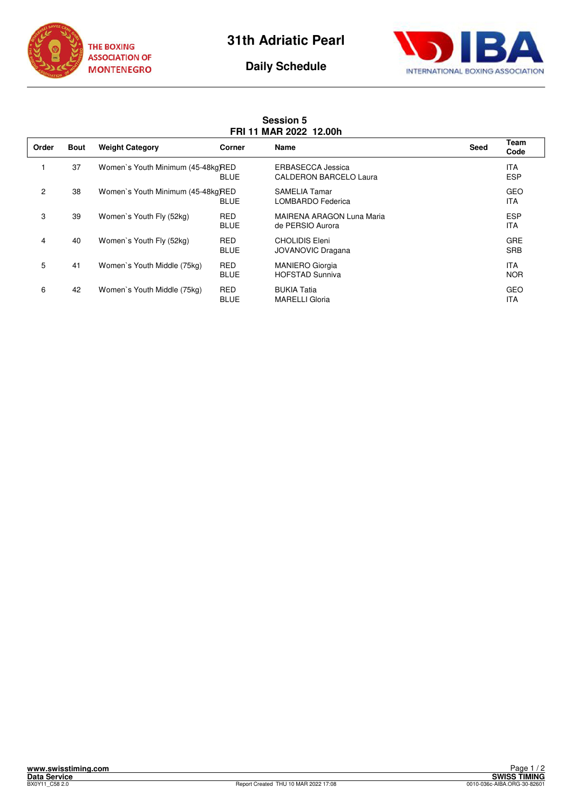



## **Daily Schedule**

**Session 5** 

## **FRI 11 MAR 2022 12.00h Order Bout Weight Category Corner Name Seed Team Code** 1 37 Women`s Youth Minimum (45-48kg)RED ERBASECCA Jessica<br>BLUE CALDERON BARCELO Laura  $\overline{B}$ BLUE CALDERON BARCELO Laura 2 38 Women`s Youth Minimum (45-48kg)RED SAMELIA Tamar GEO BLUE LOMBARDO Federica 
ITA 3 39 Women`s Youth Fly (52kg) RED MAIRENA ARAGON Luna Maria ESP de PERSIO Aurora **ITA** 4 40 Women's Youth Fly (52kg) RED CHOLIDIS Eleni CHOLIDIS Eleni CHOLIDIS Eleni GRE<br>BLUE JOVANOVIC Dragana BLUE JOVANOVIC Dragana 5 41 Women's Youth Middle (75kg) RED MANIERO Giorgia **ITA** BLUE HOFSTAD Sunniva NOR

6 42 Women`s Youth Middle (75kg) RED BUKIA Tatia GEO

MARELLI Gloria